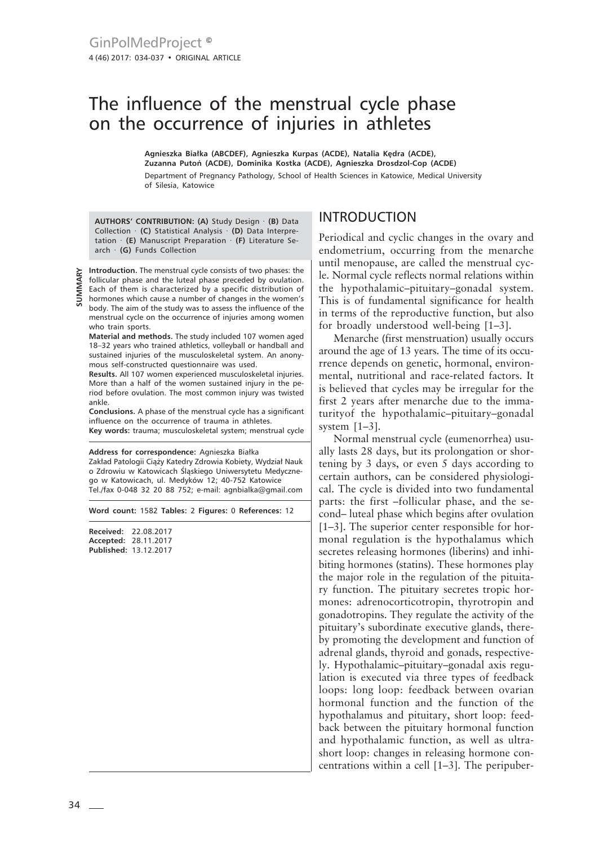# The influence of the menstrual cycle phase on the occurrence of injuries in athletes

**Agnieszka Białka (ABCDEF), Agnieszka Kurpas (ACDE), Natalia Kędra (ACDE), Zuzanna Putoń (ACDE), Dominika Kostka (ACDE), Agnieszka Drosdzol-Cop (ACDE)** Department of Pregnancy Pathology, School of Health Sciences in Katowice, Medical University of Silesia, Katowice

**AUTHORS' CONTRIBUTION: (A)** Study Design · **(B)** Data Collection · **(C)** Statistical Analysis · **(D)** Data Interpretation · **(E)** Manuscript Preparation · **(F)** Literature Search · **(G)** Funds Collection

**SUMMARY**

**Introduction.** The menstrual cycle consists of two phases: the follicular phase and the luteal phase preceded by ovulation. Each of them is characterized by a specific distribution of hormones which cause a number of changes in the women's body. The aim of the study was to assess the influence of the menstrual cycle on the occurrence of injuries among women who train sports.

**Material and methods.** The study included 107 women aged 18–32 years who trained athletics, volleyball or handball and sustained injuries of the musculoskeletal system. An anonymous self-constructed questionnaire was used.

**Results.** All 107 women experienced musculoskeletal injuries. More than a half of the women sustained injury in the period before ovulation. The most common injury was twisted ankle.

**Conclusions.** A phase of the menstrual cycle has a significant influence on the occurrence of trauma in athletes. **Key words:** trauma; musculoskeletal system; menstrual cycle

**Address for correspondence:** Agnieszka Białka Zakład Patologii Ciąży Katedry Zdrowia Kobiety, Wydział Nauk o Zdrowiu w Katowicach Śląskiego Uniwersytetu Medycznego w Katowicach, ul. Medyków 12; 40-752 Katowice Tel./fax 0-048 32 20 88 752; e-mail: agnbialka@gmail.com

**Word count:** 1582 **Tables:** 2 **Figures:** 0 **References:** 12

**Received:** 22.08.2017 **Accepted:** 28.11.2017 **Published:** 13.12.2017

### INTRODUCTION

Periodical and cyclic changes in the ovary and endometrium, occurring from the menarche until menopause, are called the menstrual cycle. Normal cycle reflects normal relations within the hypothalamic–pituitary–gonadal system. This is of fundamental significance for health in terms of the reproductive function, but also for broadly understood well-being [1–3].

Menarche (first menstruation) usually occurs around the age of 13 years. The time of its occurrence depends on genetic, hormonal, environmental, nutritional and race-related factors. It is believed that cycles may be irregular for the first 2 years after menarche due to the immaturityof the hypothalamic–pituitary–gonadal system [1–3].

Normal menstrual cycle (eumenorrhea) usually lasts 28 days, but its prolongation or shortening by 3 days, or even 5 days according to certain authors, can be considered physiological. The cycle is divided into two fundamental parts: the first –follicular phase, and the second– luteal phase which begins after ovulation [1–3]. The superior center responsible for hormonal regulation is the hypothalamus which secretes releasing hormones (liberins) and inhibiting hormones (statins). These hormones play the major role in the regulation of the pituitary function. The pituitary secretes tropic hormones: adrenocorticotropin, thyrotropin and gonadotropins. They regulate the activity of the pituitary's subordinate executive glands, thereby promoting the development and function of adrenal glands, thyroid and gonads, respectively. Hypothalamic–pituitary–gonadal axis regulation is executed via three types of feedback loops: long loop: feedback between ovarian hormonal function and the function of the hypothalamus and pituitary, short loop: feedback between the pituitary hormonal function and hypothalamic function, as well as ultrashort loop: changes in releasing hormone concentrations within a cell [1–3]. The peripuber-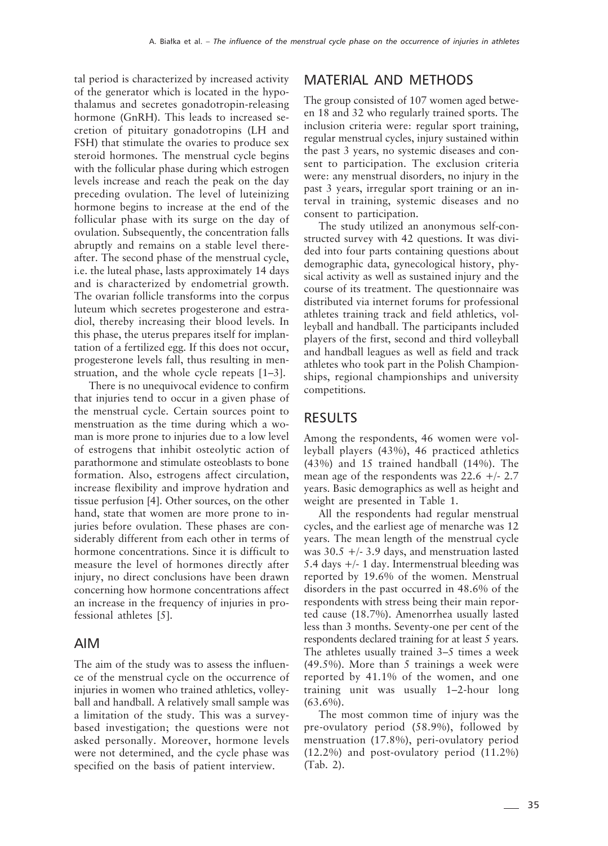tal period is characterized by increased activity of the generator which is located in the hypothalamus and secretes gonadotropin-releasing hormone (GnRH). This leads to increased secretion of pituitary gonadotropins (LH and FSH) that stimulate the ovaries to produce sex steroid hormones. The menstrual cycle begins with the follicular phase during which estrogen levels increase and reach the peak on the day preceding ovulation. The level of luteinizing hormone begins to increase at the end of the follicular phase with its surge on the day of ovulation. Subsequently, the concentration falls abruptly and remains on a stable level thereafter. The second phase of the menstrual cycle, i.e. the luteal phase, lasts approximately 14 days and is characterized by endometrial growth. The ovarian follicle transforms into the corpus luteum which secretes progesterone and estradiol, thereby increasing their blood levels. In this phase, the uterus prepares itself for implantation of a fertilized egg. If this does not occur, progesterone levels fall, thus resulting in menstruation, and the whole cycle repeats [1–3].

There is no unequivocal evidence to confirm that injuries tend to occur in a given phase of the menstrual cycle. Certain sources point to menstruation as the time during which a woman is more prone to injuries due to a low level of estrogens that inhibit osteolytic action of parathormone and stimulate osteoblasts to bone formation. Also, estrogens affect circulation, increase flexibility and improve hydration and tissue perfusion [4]. Other sources, on the other hand, state that women are more prone to injuries before ovulation. These phases are considerably different from each other in terms of hormone concentrations. Since it is difficult to measure the level of hormones directly after injury, no direct conclusions have been drawn concerning how hormone concentrations affect an increase in the frequency of injuries in professional athletes [5].

#### AIM

The aim of the study was to assess the influence of the menstrual cycle on the occurrence of injuries in women who trained athletics, volleyball and handball. A relatively small sample was a limitation of the study. This was a surveybased investigation; the questions were not asked personally. Moreover, hormone levels were not determined, and the cycle phase was specified on the basis of patient interview.

#### MATERIAL AND METHODS

The group consisted of 107 women aged between 18 and 32 who regularly trained sports. The inclusion criteria were: regular sport training, regular menstrual cycles, injury sustained within the past 3 years, no systemic diseases and consent to participation. The exclusion criteria were: any menstrual disorders, no injury in the past 3 years, irregular sport training or an interval in training, systemic diseases and no consent to participation.

The study utilized an anonymous self-constructed survey with 42 questions. It was divided into four parts containing questions about demographic data, gynecological history, physical activity as well as sustained injury and the course of its treatment. The questionnaire was distributed via internet forums for professional athletes training track and field athletics, volleyball and handball. The participants included players of the first, second and third volleyball and handball leagues as well as field and track athletes who took part in the Polish Championships, regional championships and university competitions.

#### RESULTS

Among the respondents, 46 women were volleyball players (43%), 46 practiced athletics (43%) and 15 trained handball (14%). The mean age of the respondents was  $22.6 +/- 2.7$ years. Basic demographics as well as height and weight are presented in Table 1.

All the respondents had regular menstrual cycles, and the earliest age of menarche was 12 years. The mean length of the menstrual cycle was  $30.5 + (-3.9)$  days, and menstruation lasted 5.4 days +/- 1 day. Intermenstrual bleeding was reported by 19.6% of the women. Menstrual disorders in the past occurred in 48.6% of the respondents with stress being their main reported cause (18.7%). Amenorrhea usually lasted less than 3 months. Seventy-one per cent of the respondents declared training for at least 5 years. The athletes usually trained 3–5 times a week (49.5%). More than 5 trainings a week were reported by 41.1% of the women, and one training unit was usually 1–2-hour long  $(63.6\%)$ .

The most common time of injury was the pre-ovulatory period (58.9%), followed by menstruation (17.8%), peri-ovulatory period (12.2%) and post-ovulatory period (11.2%) (Tab. 2).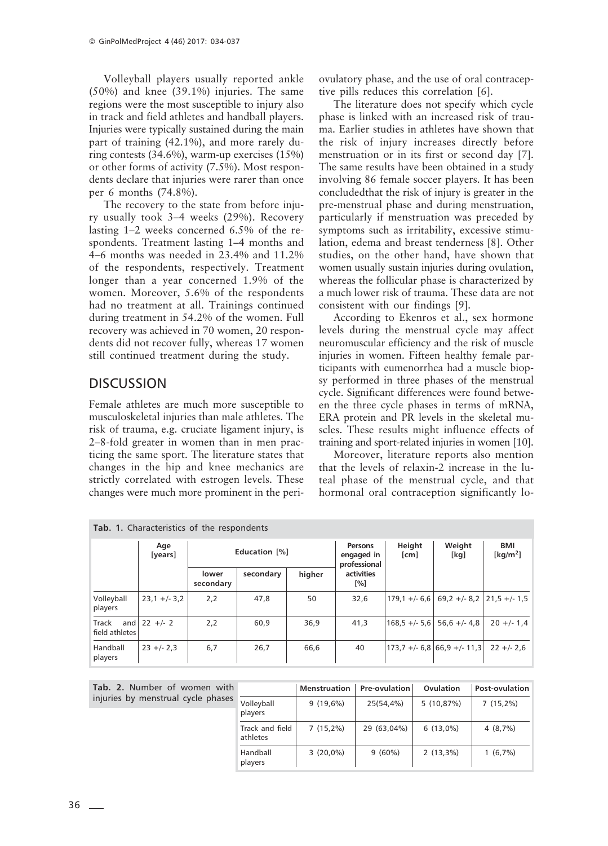Volleyball players usually reported ankle (50%) and knee (39.1%) injuries. The same regions were the most susceptible to injury also in track and field athletes and handball players. Injuries were typically sustained during the main part of training (42.1%), and more rarely during contests (34.6%), warm-up exercises (15%) or other forms of activity (7.5%). Most respondents declare that injuries were rarer than once per 6 months (74.8%).

The recovery to the state from before injury usually took 3–4 weeks (29%). Recovery lasting 1–2 weeks concerned 6.5% of the respondents. Treatment lasting 1–4 months and 4–6 months was needed in 23.4% and 11.2% of the respondents, respectively. Treatment longer than a year concerned 1.9% of the women. Moreover, 5.6% of the respondents had no treatment at all. Trainings continued during treatment in 54.2% of the women. Full recovery was achieved in 70 women, 20 respondents did not recover fully, whereas 17 women still continued treatment during the study.

## DISCUSSION

Female athletes are much more susceptible to musculoskeletal injuries than male athletes. The risk of trauma, e.g. cruciate ligament injury, is 2–8-fold greater in women than in men practicing the same sport. The literature states that changes in the hip and knee mechanics are strictly correlated with estrogen levels. These changes were much more prominent in the periovulatory phase, and the use of oral contraceptive pills reduces this correlation [6].

The literature does not specify which cycle phase is linked with an increased risk of trauma. Earlier studies in athletes have shown that the risk of injury increases directly before menstruation or in its first or second day [7]. The same results have been obtained in a study involving 86 female soccer players. It has been concludedthat the risk of injury is greater in the pre-menstrual phase and during menstruation, particularly if menstruation was preceded by symptoms such as irritability, excessive stimulation, edema and breast tenderness [8]. Other studies, on the other hand, have shown that women usually sustain injuries during ovulation, whereas the follicular phase is characterized by a much lower risk of trauma. These data are not consistent with our findings [9].

According to Ekenros et al., sex hormone levels during the menstrual cycle may affect neuromuscular efficiency and the risk of muscle injuries in women. Fifteen healthy female participants with eumenorrhea had a muscle biopsy performed in three phases of the menstrual cycle. Significant differences were found between the three cycle phases in terms of mRNA, ERA protein and PR levels in the skeletal muscles. These results might influence effects of training and sport-related injuries in women [10].

Moreover, literature reports also mention that the levels of relaxin-2 increase in the luteal phase of the menstrual cycle, and that hormonal oral contraception significantly lo-

| Tab. 1. Characteristics of the respondents |                |                    |           |        |                                       |                 |                                                                 |                           |  |  |  |  |
|--------------------------------------------|----------------|--------------------|-----------|--------|---------------------------------------|-----------------|-----------------------------------------------------------------|---------------------------|--|--|--|--|
|                                            | Age<br>[years] | Education [%]      |           |        | Persons<br>engaged in<br>professional | Height<br>[cm]  | Weight<br>[kq]                                                  | <b>BMI</b><br>[ $kg/m2$ ] |  |  |  |  |
|                                            |                | lower<br>secondary | secondary | higher | activities<br>[%]                     |                 |                                                                 |                           |  |  |  |  |
| Volleyball<br>players                      | $23,1 +/- 3,2$ | 2,2                | 47,8      | 50     | 32,6                                  |                 | $179.1 + (-6.6 \mid 69.2 + (-8.2 \mid 21.5 + (-1.5 \mid 21.5))$ |                           |  |  |  |  |
| and<br>Track<br>field athletes             | $22 +/- 2$     | 2,2                | 60,9      | 36,9   | 41,3                                  | $168.5 +/- 5.6$ | $56.6 +/- 4.8$                                                  | $20 + (-1.4$              |  |  |  |  |
| Handball<br>players                        | $23 + -2,3$    | 6,7                | 26,7      | 66,6   | 40                                    |                 | $173.7 + (-6.8)66.9 + (-11.3)$                                  | $22 + -2.6$               |  |  |  |  |

Tab. 2. Number of women with injuries by menstrual cycle phase

| h. |                             | <b>Menstruation</b> | Pre-ovulation | Ovulation   | <b>Post-ovulation</b> |  |
|----|-----------------------------|---------------------|---------------|-------------|-----------------------|--|
| ؛S | Volleyball<br>players       | $9(19,6\%)$         | 25(54,4%)     | 5(10,87%)   | $7(15,2\%)$           |  |
|    | Track and field<br>athletes | $7(15,2\%)$         | 29 (63,04%)   | $6(13,0\%)$ | 4(8,7%)               |  |
|    | Handball<br>players         | $3(20,0\%)$         | $9(60\%)$     | $2(13,3\%)$ | $1(6,7\%)$            |  |